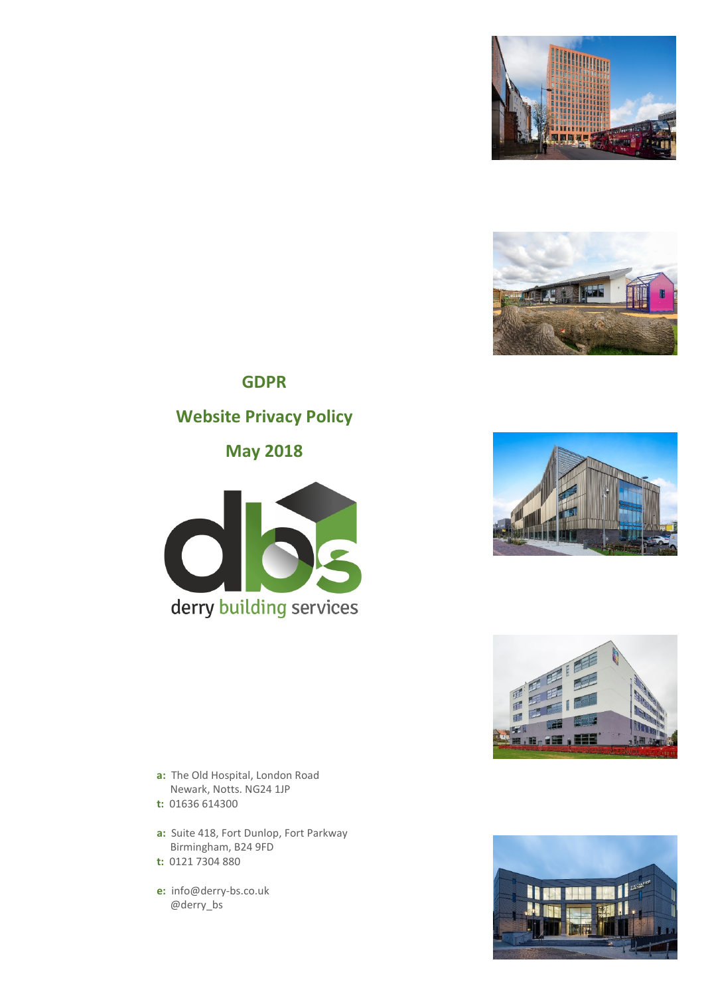



# **GDPR Website Privacy Policy**

**May 2018**







- **a:** The Old Hospital, London Road Newark, Notts. NG24 1JP
- **t:** 01636 614300
- **a:** Suite 418, Fort Dunlop, Fort Parkway Birmingham, B24 9FD
- **t:** 0121 7304 880
- **e:** info@derry-bs.co.uk @derry\_bs

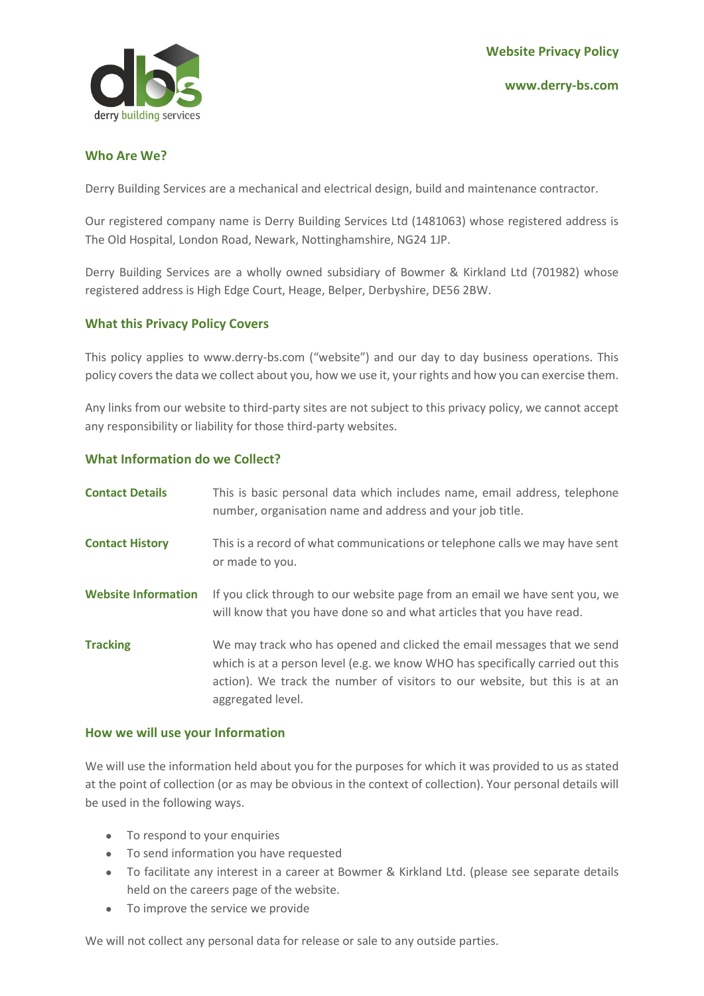# **Who Are We?**

Derry Building Services are a mechanical and electrical design, build and maintenance contractor.

Our registered company name is Derry Building Services Ltd (1481063) whose registered address is The Old Hospital, London Road, Newark, Nottinghamshire, NG24 1JP.

Derry Building Services are a wholly owned subsidiary of Bowmer & Kirkland Ltd (701982) whose registered address is High Edge Court, Heage, Belper, Derbyshire, DE56 2BW.

# **What this Privacy Policy Covers**

This policy applies to www.derry-bs.com ("website") and our day to day business operations. This policy covers the data we collect about you, how we use it, your rights and how you can exercise them.

Any links from our website to third-party sites are not subject to this privacy policy, we cannot accept any responsibility or liability for those third-party websites.

# **What Information do we Collect?**

| <b>Contact Details</b>     | This is basic personal data which includes name, email address, telephone<br>number, organisation name and address and your job title.                                                                                                                       |
|----------------------------|--------------------------------------------------------------------------------------------------------------------------------------------------------------------------------------------------------------------------------------------------------------|
| <b>Contact History</b>     | This is a record of what communications or telephone calls we may have sent<br>or made to you.                                                                                                                                                               |
| <b>Website Information</b> | If you click through to our website page from an email we have sent you, we<br>will know that you have done so and what articles that you have read.                                                                                                         |
| <b>Tracking</b>            | We may track who has opened and clicked the email messages that we send<br>which is at a person level (e.g. we know WHO has specifically carried out this<br>action). We track the number of visitors to our website, but this is at an<br>aggregated level. |

#### **How we will use your Information**

We will use the information held about you for the purposes for which it was provided to us as stated at the point of collection (or as may be obvious in the context of collection). Your personal details will be used in the following ways.

- To respond to your enquiries
- To send information you have requested
- To facilitate any interest in a career at Bowmer & Kirkland Ltd. (please see separate details held on the careers page of the website.
- To improve the service we provide

We will not collect any personal data for release or sale to any outside parties.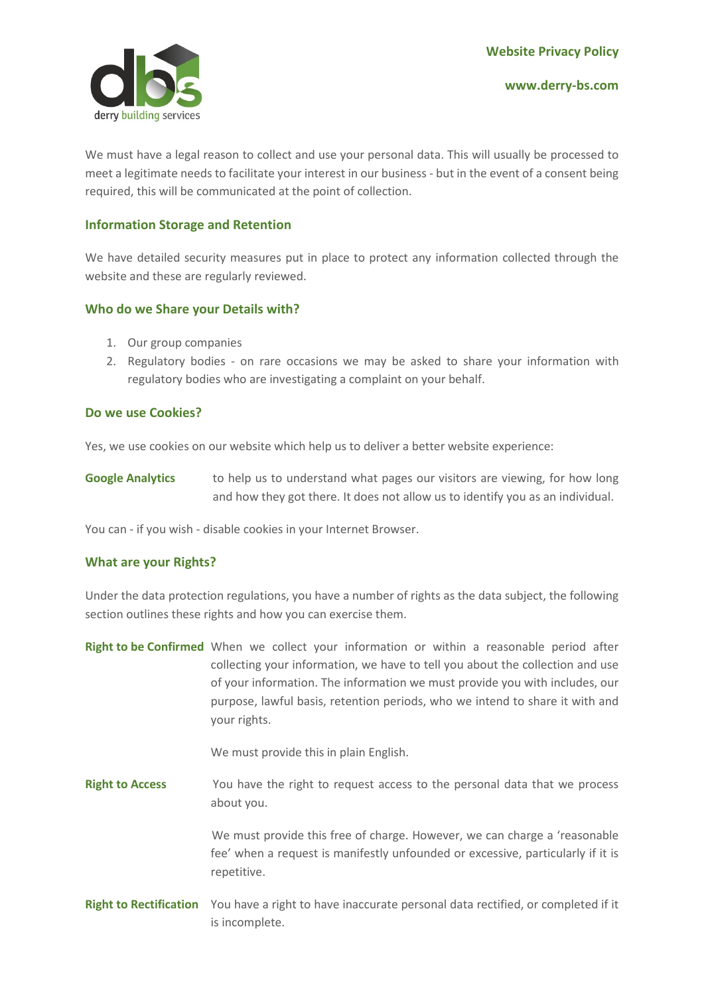

We must have a legal reason to collect and use your personal data. This will usually be processed to meet a legitimate needs to facilitate your interest in our business - but in the event of a consent being required, this will be communicated at the point of collection.

## **Information Storage and Retention**

We have detailed security measures put in place to protect any information collected through the website and these are regularly reviewed.

## **Who do we Share your Details with?**

- 1. Our group companies
- 2. Regulatory bodies on rare occasions we may be asked to share your information with regulatory bodies who are investigating a complaint on your behalf.

## **Do we use Cookies?**

Yes, we use cookies on our website which help us to deliver a better website experience:

**Google Analytics** to help us to understand what pages our visitors are viewing, for how long and how they got there. It does not allow us to identify you as an individual.

You can - if you wish - disable cookies in your Internet Browser.

#### **What are your Rights?**

Under the data protection regulations, you have a number of rights as the data subject, the following section outlines these rights and how you can exercise them.

**Right to be Confirmed** When we collect your information or within a reasonable period after collecting your information, we have to tell you about the collection and use of your information. The information we must provide you with includes, our purpose, lawful basis, retention periods, who we intend to share it with and your rights.

We must provide this in plain English.

**Right to Access** You have the right to request access to the personal data that we process about you.

> We must provide this free of charge. However, we can charge a 'reasonable fee' when a request is manifestly unfounded or excessive, particularly if it is repetitive.

**Right to Rectification** You have a right to have inaccurate personal data rectified, or completed if it is incomplete.